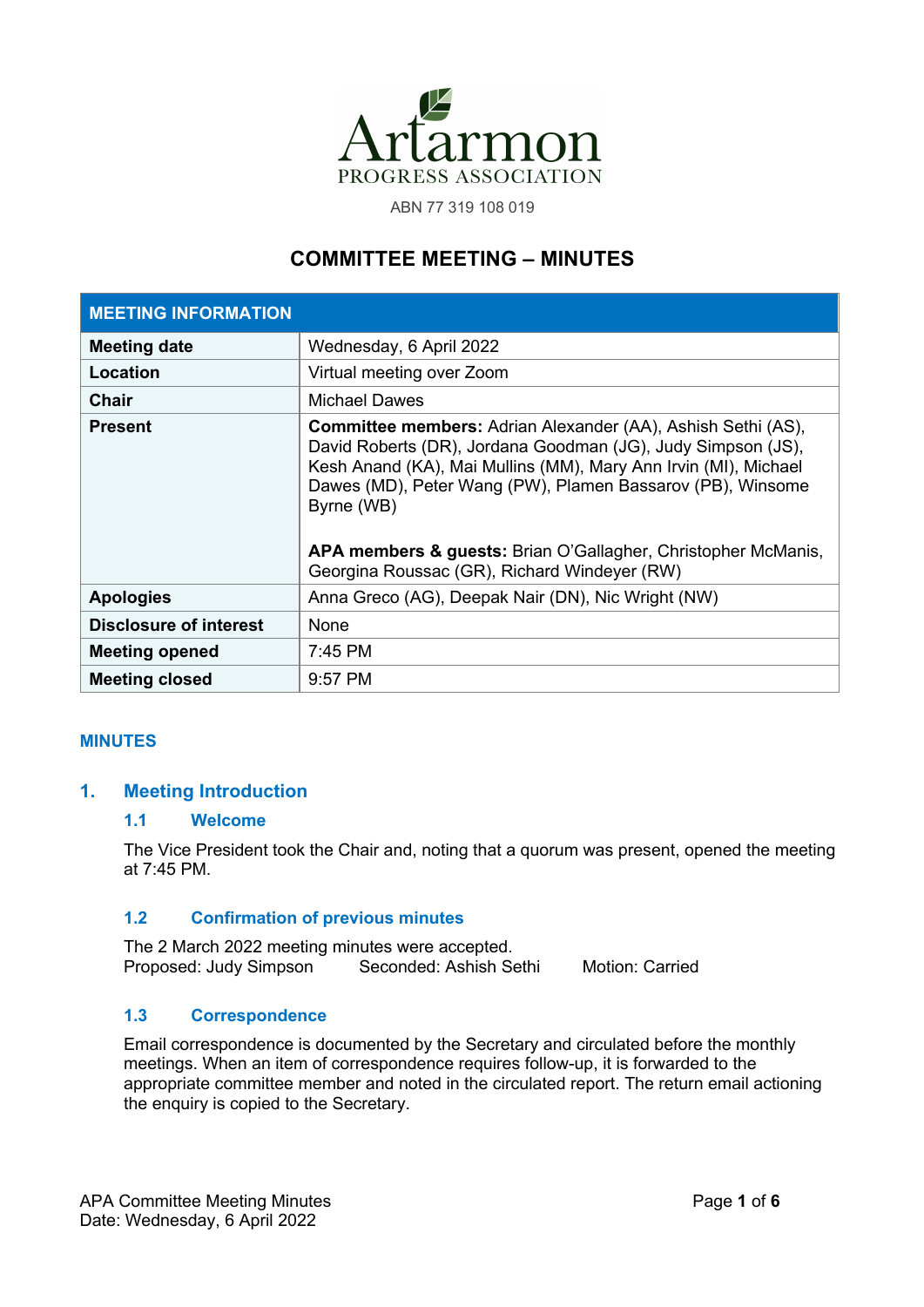

ABN 77 319 108 019

# **COMMITTEE MEETING – MINUTES**

| <b>MEETING INFORMATION</b>    |                                                                                                                                                                                                                                                                                                                                                                                                     |
|-------------------------------|-----------------------------------------------------------------------------------------------------------------------------------------------------------------------------------------------------------------------------------------------------------------------------------------------------------------------------------------------------------------------------------------------------|
| <b>Meeting date</b>           | Wednesday, 6 April 2022                                                                                                                                                                                                                                                                                                                                                                             |
| Location                      | Virtual meeting over Zoom                                                                                                                                                                                                                                                                                                                                                                           |
| <b>Chair</b>                  | <b>Michael Dawes</b>                                                                                                                                                                                                                                                                                                                                                                                |
| <b>Present</b>                | <b>Committee members:</b> Adrian Alexander (AA), Ashish Sethi (AS),<br>David Roberts (DR), Jordana Goodman (JG), Judy Simpson (JS),<br>Kesh Anand (KA), Mai Mullins (MM), Mary Ann Irvin (MI), Michael<br>Dawes (MD), Peter Wang (PW), Plamen Bassarov (PB), Winsome<br>Byrne (WB)<br>APA members & guests: Brian O'Gallagher, Christopher McManis,<br>Georgina Roussac (GR), Richard Windeyer (RW) |
| <b>Apologies</b>              | Anna Greco (AG), Deepak Nair (DN), Nic Wright (NW)                                                                                                                                                                                                                                                                                                                                                  |
| <b>Disclosure of interest</b> | None                                                                                                                                                                                                                                                                                                                                                                                                |
| <b>Meeting opened</b>         | $7:45$ PM                                                                                                                                                                                                                                                                                                                                                                                           |
| <b>Meeting closed</b>         | $9:57$ PM                                                                                                                                                                                                                                                                                                                                                                                           |

# **MINUTES**

# **1. Meeting Introduction**

# **1.1 Welcome**

The Vice President took the Chair and, noting that a quorum was present, opened the meeting at 7:45 PM.

# **1.2 Confirmation of previous minutes**

The 2 March 2022 meeting minutes were accepted. Proposed: Judy Simpson Seconded: Ashish Sethi Motion: Carried

# **1.3 Correspondence**

Email correspondence is documented by the Secretary and circulated before the monthly meetings. When an item of correspondence requires follow-up, it is forwarded to the appropriate committee member and noted in the circulated report. The return email actioning the enquiry is copied to the Secretary.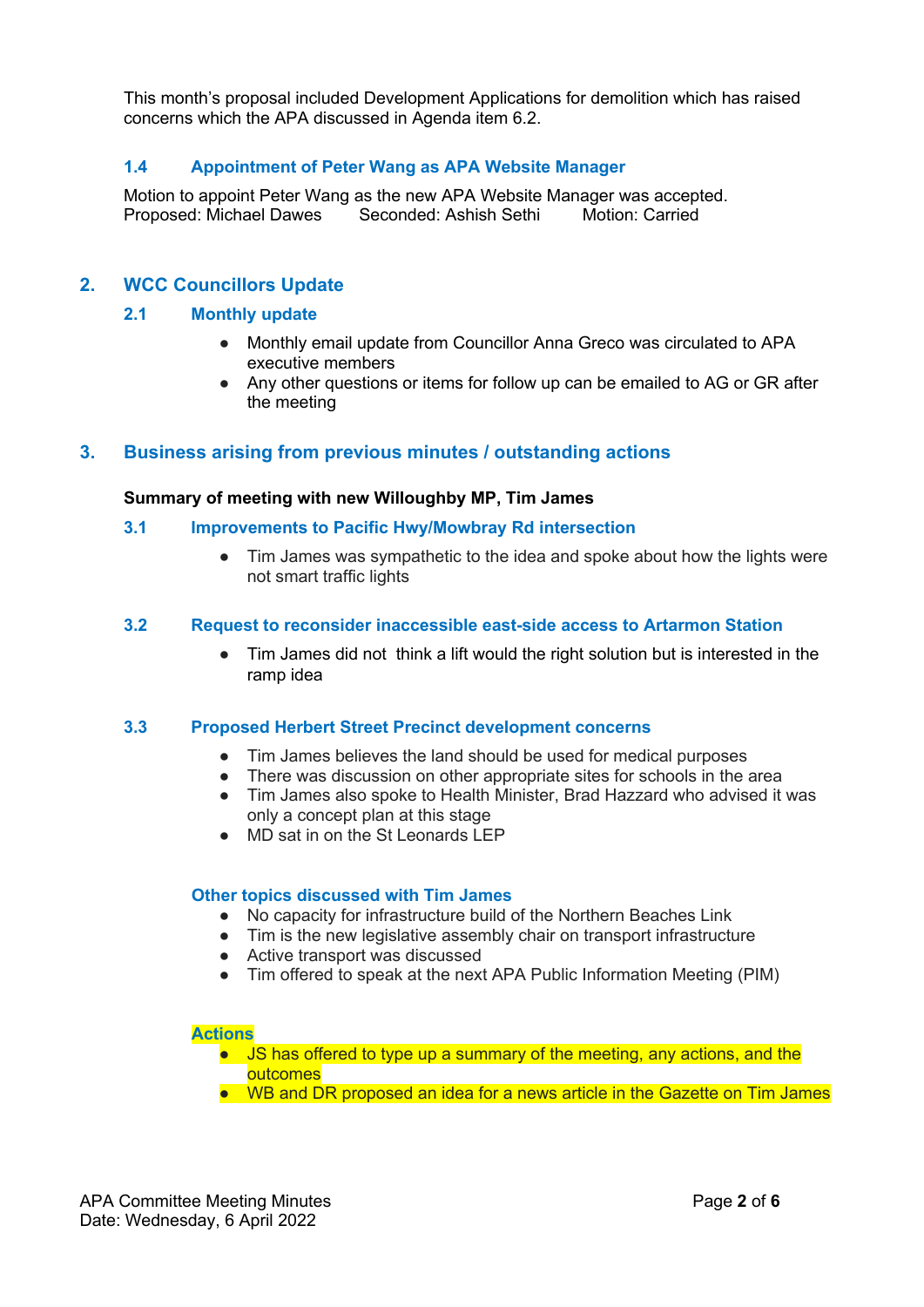This month's proposal included Development Applications for demolition which has raised concerns which the APA discussed in Agenda item 6.2.

# **1.4 Appointment of Peter Wang as APA Website Manager**

Motion to appoint Peter Wang as the new APA Website Manager was accepted. Proposed: Michael Dawes Seconded: Ashish Sethi Motion: Carried

# **2. WCC Councillors Update**

# **2.1 Monthly update**

- Monthly email update from Councillor Anna Greco was circulated to APA executive members
- Any other questions or items for follow up can be emailed to AG or GR after the meeting

# **3. Business arising from previous minutes / outstanding actions**

#### **Summary of meeting with new Willoughby MP, Tim James**

- **3.1 Improvements to Pacific Hwy/Mowbray Rd intersection**
	- Tim James was sympathetic to the idea and spoke about how the lights were not smart traffic lights

#### **3.2 Request to reconsider inaccessible east-side access to Artarmon Station**

Tim James did not think a lift would the right solution but is interested in the ramp idea

# **3.3 Proposed Herbert Street Precinct development concerns**

- Tim James believes the land should be used for medical purposes
- There was discussion on other appropriate sites for schools in the area
- Tim James also spoke to Health Minister, Brad Hazzard who advised it was only a concept plan at this stage
- MD sat in on the St Leonards LEP

#### **Other topics discussed with Tim James**

- No capacity for infrastructure build of the Northern Beaches Link
- Tim is the new legislative assembly chair on transport infrastructure
- Active transport was discussed
- Tim offered to speak at the next APA Public Information Meeting (PIM)

#### **Actions**

- JS has offered to type up a summary of the meeting, any actions, and the outcomes
- WB and DR proposed an idea for a news article in the Gazette on Tim James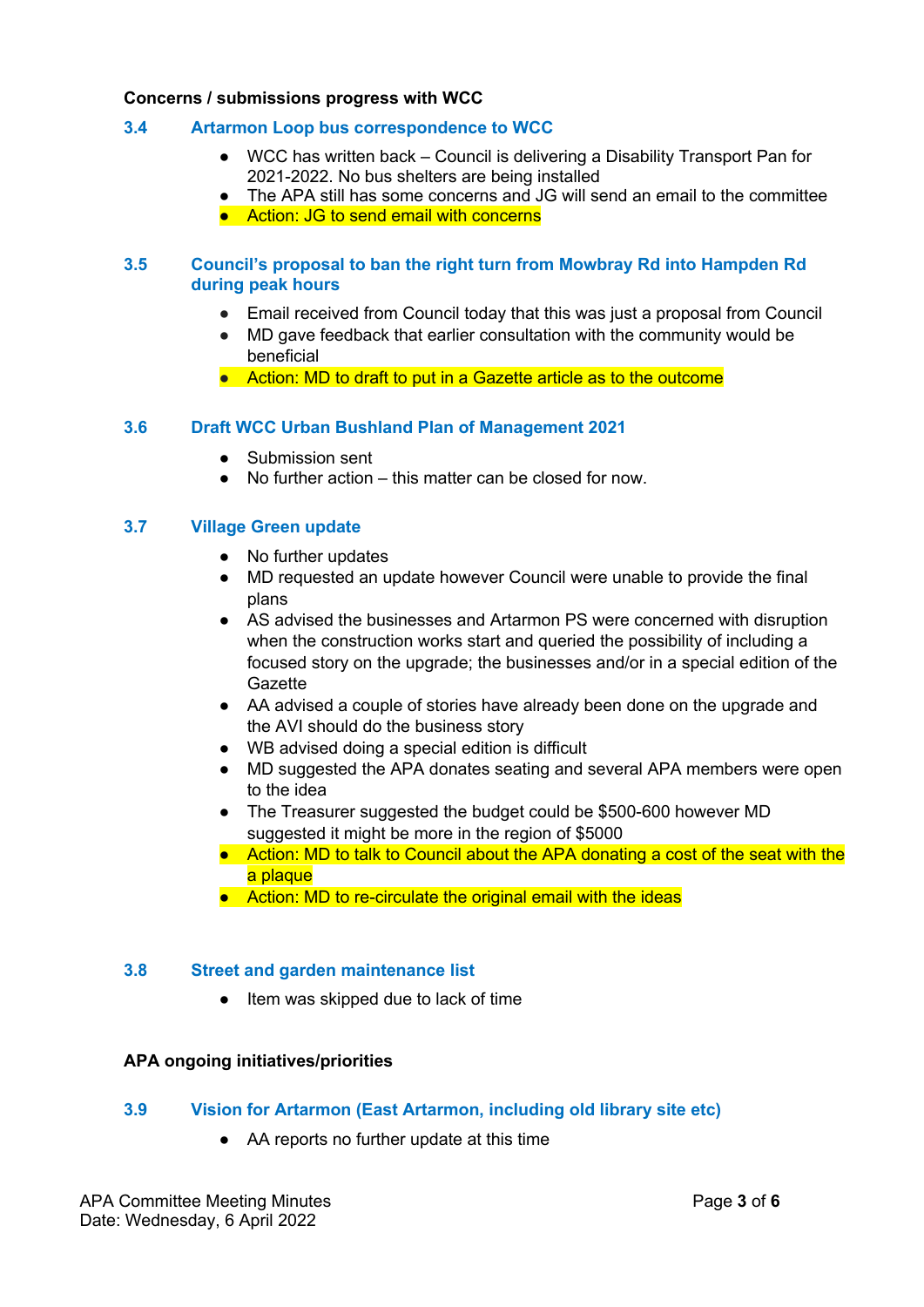### **Concerns / submissions progress with WCC**

# **3.4 Artarmon Loop bus correspondence to WCC**

- WCC has written back Council is delivering a Disability Transport Pan for 2021-2022. No bus shelters are being installed
- The APA still has some concerns and JG will send an email to the committee
- Action: JG to send email with concerns

# **3.5 Council's proposal to ban the right turn from Mowbray Rd into Hampden Rd during peak hours**

- Email received from Council today that this was just a proposal from Council
- MD gave feedback that earlier consultation with the community would be beneficial
- Action: MD to draft to put in a Gazette article as to the outcome

# **3.6 Draft WCC Urban Bushland Plan of Management 2021**

- Submission sent
- No further action this matter can be closed for now.

#### **3.7 Village Green update**

- No further updates
- MD requested an update however Council were unable to provide the final plans
- AS advised the businesses and Artarmon PS were concerned with disruption when the construction works start and queried the possibility of including a focused story on the upgrade; the businesses and/or in a special edition of the **Gazette**
- AA advised a couple of stories have already been done on the upgrade and the AVI should do the business story
- WB advised doing a special edition is difficult
- MD suggested the APA donates seating and several APA members were open to the idea
- The Treasurer suggested the budget could be \$500-600 however MD suggested it might be more in the region of \$5000
- Action: MD to talk to Council about the APA donating a cost of the seat with the a plaque
- Action: MD to re-circulate the original email with the ideas

#### **3.8 Street and garden maintenance list**

● Item was skipped due to lack of time

#### **APA ongoing initiatives/priorities**

# **3.9 Vision for Artarmon (East Artarmon, including old library site etc)**

● AA reports no further update at this time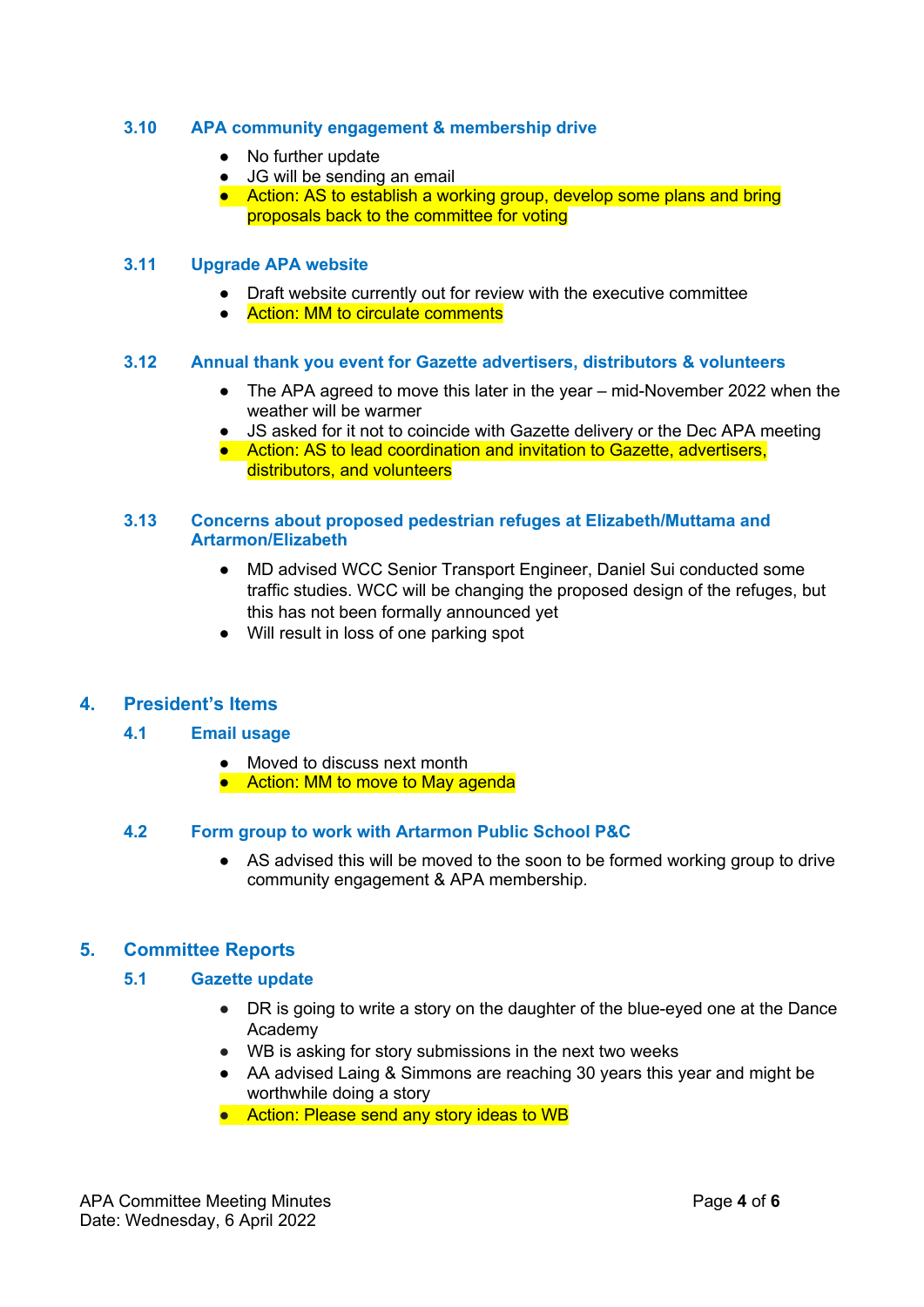# **3.10 APA community engagement & membership drive**

- No further update
- JG will be sending an email
- Action: AS to establish a working group, develop some plans and bring proposals back to the committee for voting

# **3.11 Upgrade APA website**

- Draft website currently out for review with the executive committee
- Action: MM to circulate comments

#### **3.12 Annual thank you event for Gazette advertisers, distributors & volunteers**

- The APA agreed to move this later in the year mid-November 2022 when the weather will be warmer
- JS asked for it not to coincide with Gazette delivery or the Dec APA meeting
- Action: AS to lead coordination and invitation to Gazette, advertisers, distributors, and volunteers

#### **3.13 Concerns about proposed pedestrian refuges at Elizabeth/Muttama and Artarmon/Elizabeth**

- MD advised WCC Senior Transport Engineer, Daniel Sui conducted some traffic studies. WCC will be changing the proposed design of the refuges, but this has not been formally announced yet
- Will result in loss of one parking spot

# **4. President's Items**

# **4.1 Email usage**

- Moved to discuss next month
- Action: MM to move to May agenda

# **4.2 Form group to work with Artarmon Public School P&C**

● AS advised this will be moved to the soon to be formed working group to drive community engagement & APA membership.

# **5. Committee Reports**

# **5.1 Gazette update**

- DR is going to write a story on the daughter of the blue-eyed one at the Dance Academy
- WB is asking for story submissions in the next two weeks
- AA advised Laing & Simmons are reaching 30 years this year and might be worthwhile doing a story
- Action: Please send any story ideas to WB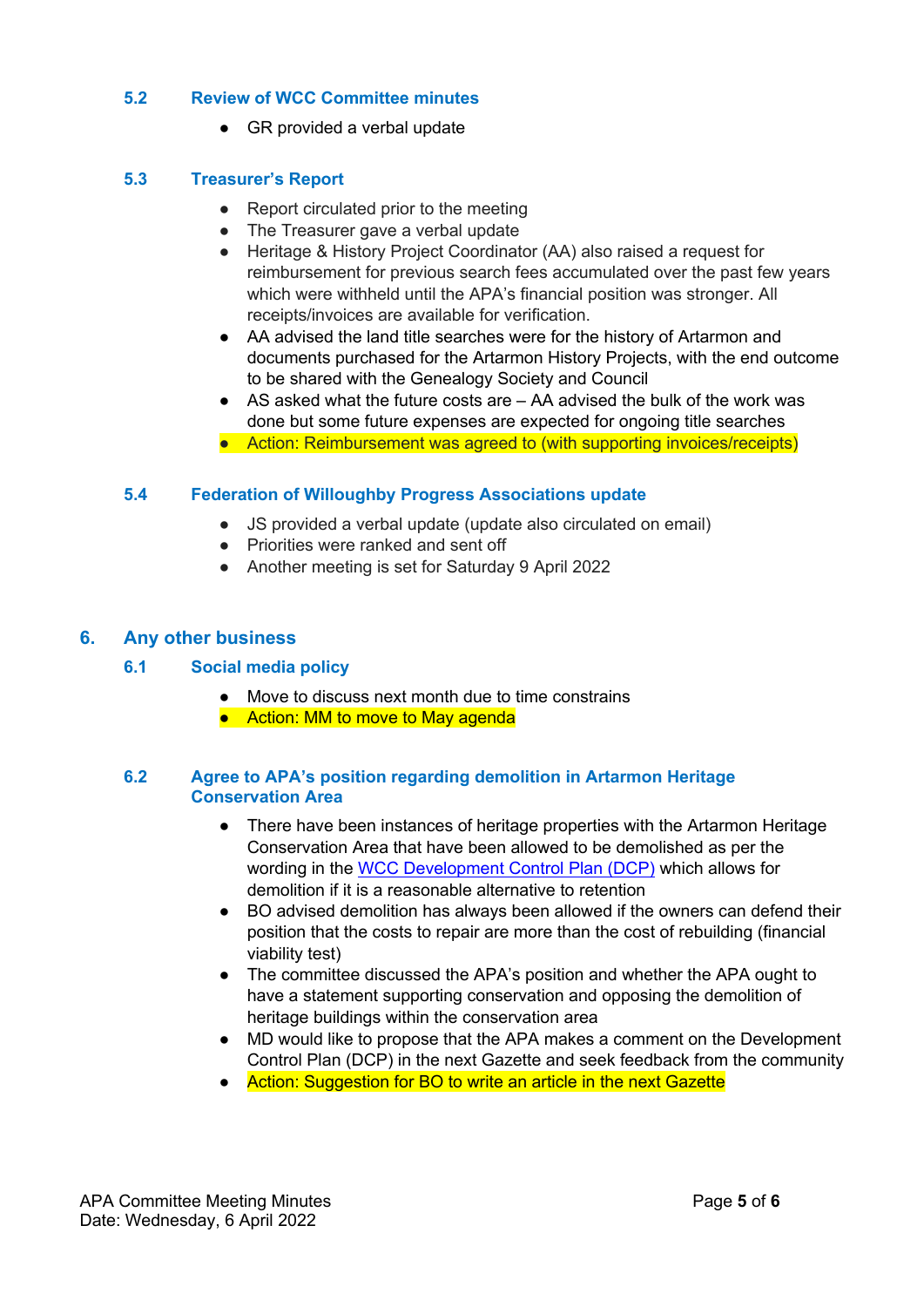# **5.2 Review of WCC Committee minutes**

● GR provided a verbal update

# **5.3 Treasurer's Report**

- Report circulated prior to the meeting
- The Treasurer gave a verbal update
- Heritage & History Project Coordinator (AA) also raised a request for reimbursement for previous search fees accumulated over the past few years which were withheld until the APA's financial position was stronger. All receipts/invoices are available for verification.
- AA advised the land title searches were for the history of Artarmon and documents purchased for the Artarmon History Projects, with the end outcome to be shared with the Genealogy Society and Council
- AS asked what the future costs are AA advised the bulk of the work was done but some future expenses are expected for ongoing title searches
- Action: Reimbursement was agreed to (with supporting invoices/receipts)

# **5.4 Federation of Willoughby Progress Associations update**

- JS provided a verbal update (update also circulated on email)
- Priorities were ranked and sent off
- Another meeting is set for Saturday 9 April 2022

# **6. Any other business**

# **6.1 Social media policy**

- Move to discuss next month due to time constrains
- Action: MM to move to May agenda

# **6.2 Agree to APA's position regarding demolition in Artarmon Heritage Conservation Area**

- There have been instances of heritage properties with the Artarmon Heritage Conservation Area that have been allowed to be demolished as per the wording in the WCC Development Control Plan (DCP) which allows for demolition if it is a reasonable alternative to retention
- BO advised demolition has always been allowed if the owners can defend their position that the costs to repair are more than the cost of rebuilding (financial viability test)
- The committee discussed the APA's position and whether the APA ought to have a statement supporting conservation and opposing the demolition of heritage buildings within the conservation area
- MD would like to propose that the APA makes a comment on the Development Control Plan (DCP) in the next Gazette and seek feedback from the community
- Action: Suggestion for BO to write an article in the next Gazette